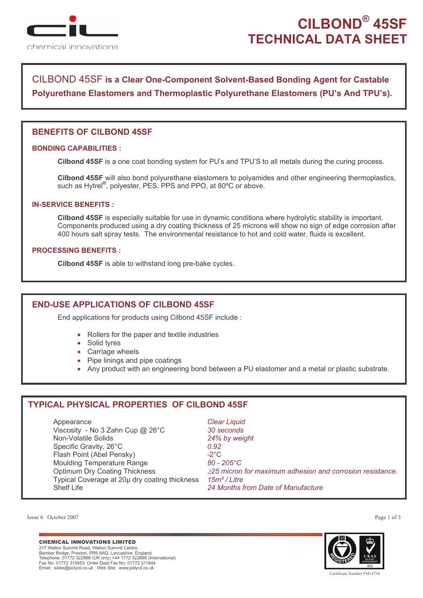

# **CILBOND® 45SF TECHNICAL DATA SHEET**

# CILBOND 45SF is a Clear One-Component Solvent-Based Bonding Agent for Castable Polyurethane Elastomers and Thermoplastic Polyurethane Elastomers (PU's And TPU's).

# **BENEFITS OF CILBOND 45SF**

## **BONDING CAPABILITIES ·**

Cilbond 45SF is a one coat bonding system for PU's and TPU'S to all metals during the curing process.

Cilbond 45SF will also bond polyurethane elastomers to polyamides and other engineering thermoplastics. such as Hytrel<sup>®</sup>, polyester, PES, PPS and PPO, at 80°C or above.

### **IN-SERVICE BENEFITS:**

Cilbond 45SF is especially suitable for use in dynamic conditions where hydrolytic stability is important. Components produced using a dry coating thickness of 25 microns will show no sign of edge corrosion after 400 hours salt spray tests. The environmental resistance to hot and cold water, fluids is excellent.

### **PROCESSING BENEFITS:**

Cilbond 45SF is able to withstand long pre-bake cycles.

## **END-USE APPLICATIONS OF CILBOND 45SF**

End applications for products using Cilbond 45SF include:

- Rollers for the paper and textile industries
- Solid tyres
- Carriage wheels
- Pipe linings and pipe coatings
- Any product with an engineering bond between a PU elastomer and a metal or plastic substrate.

# **TYPICAL PHYSICAL PROPERTIES OF CILBOND 45SF**

Appearance **Clear Liquid** Viscosity - No 3 Zahn Cup @ 26°C 30 seconds Non-Volatile Solids 24% by weight Specific Gravity, 26°C  $0.92$ Flash Point (Abel Pensky)  $-2^{\circ}$ C **Moulding Temperature Range** 80 - 205°C **Optimum Dry Coating Thickness**  $\geq$ 25 micron for maximum adhesion and corrosion resistance. Typical Coverage at 20u dry coating thickness 15m<sup>2</sup>/Litre Shelf I ife 24 Months from Date of Manufacture

Issue 6 October 2007

#### **CHEMICAL INNOVATIONS LIMITED**

217 Walton Summit Road, Walton Summit Centre, Bamber Bridge, Preston, PR5 8AQ, Lancashire, England.<br>Telephone: 01772 322888 (UK only) +44 1772 322888 (International)<br>Fax No: 01772 315853 Order Dept Fax No: 01772 311844 



المستشرين<br>Certificate Number EM1475

Page 1 of 3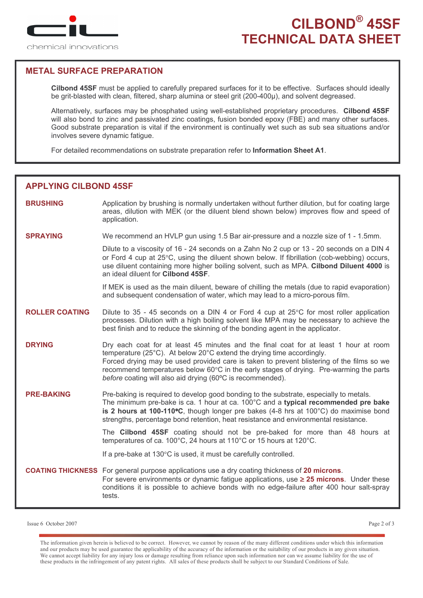

# **METAL SURFACE PREPARATION**

Cilbond 45SF must be applied to carefully prepared surfaces for it to be effective. Surfaces should ideally be grit-blasted with clean, filtered, sharp alumina or steel grit (200-400µ), and solvent degreased.

Alternatively, surfaces may be phosphated using well-established proprietary procedures. Cilbond 45SF will also bond to zinc and passivated zinc coatings, fusion bonded epoxy (FBE) and many other surfaces. Good substrate preparation is vital if the environment is continually wet such as sub sea situations and/or involves severe dynamic fatigue.

For detailed recommendations on substrate preparation refer to Information Sheet A1.

## **APPLYING CILBOND 45SF**

- **BRUSHING** Application by brushing is normally undertaken without further dilution, but for coating large areas, dilution with MEK (or the diluent blend shown below) improves flow and speed of application.
- **SPRAYING** We recommend an HVLP gun using 1.5 Bar air-pressure and a nozzle size of 1 - 1.5mm.

Dilute to a viscosity of 16 - 24 seconds on a Zahn No 2 cup or 13 - 20 seconds on a DIN 4 or Ford 4 cup at 25°C, using the diluent shown below. If fibrillation (cob-webbing) occurs, use diluent containing more higher boiling solvent, such as MPA. Cilbond Diluent 4000 is an ideal diluent for Cilbond 45SF.

If MEK is used as the main diluent, beware of chilling the metals (due to rapid evaporation) and subsequent condensation of water, which may lead to a micro-porous film.

- **ROLLER COATING** Dilute to 35 - 45 seconds on a DIN 4 or Ford 4 cup at  $25^{\circ}$ C for most roller application processes. Dilution with a high boiling solvent like MPA may be necessary to achieve the best finish and to reduce the skinning of the bonding agent in the applicator.
- **DRYING** Dry each coat for at least 45 minutes and the final coat for at least 1 hour at room temperature (25°C). At below 20°C extend the drying time accordingly. Forced drying may be used provided care is taken to prevent blistering of the films so we recommend temperatures below 60°C in the early stages of drying. Pre-warming the parts before coating will also aid drying (60°C is recommended).

**PRE-BAKING** Pre-baking is required to develop good bonding to the substrate, especially to metals. The minimum pre-bake is ca. 1 hour at ca. 100°C and a typical recommended pre bake is 2 hours at 100-110°C, though longer pre bakes  $(4-8)$  hrs at 100°C) do maximise bond strengths, percentage bond retention, heat resistance and environmental resistance.

> The Cilbond 45SF coating should not be pre-baked for more than 48 hours at temperatures of ca. 100°C, 24 hours at 110°C or 15 hours at 120°C.

If a pre-bake at 130°C is used, it must be carefully controlled.

**COATING THICKNESS** For general purpose applications use a dry coating thickness of 20 microns. For severe environments or dynamic fatigue applications, use  $\geq 25$  microns. Under these conditions it is possible to achieve bonds with no edge-failure after 400 hour salt-spray tests.

Issue 6 October 2007

The information given herein is believed to be correct. However, we cannot by reason of the many different conditions under which this information and our products may be used guarantee the applicability of the accuracy of the information or the suitability of our products in any given situation. We cannot accept liability for any injury loss or damage resulting from reliance upon such information nor can we assume liability for the use of these products in the infringement of any patent rights. All sales of these products shall be subject to our Standard Conditions of Sale.